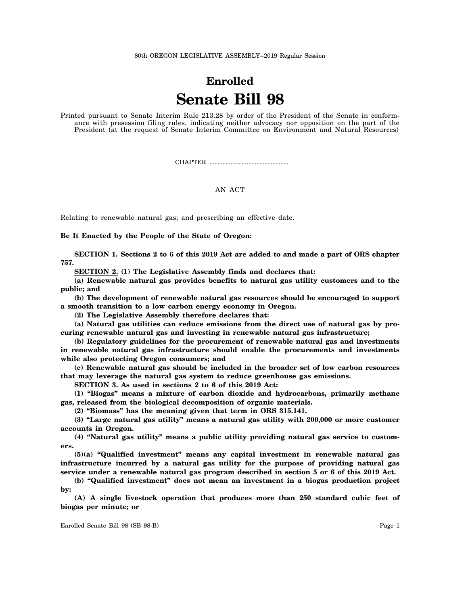80th OREGON LEGISLATIVE ASSEMBLY--2019 Regular Session

## **Enrolled Senate Bill 98**

Printed pursuant to Senate Interim Rule 213.28 by order of the President of the Senate in conformance with presession filing rules, indicating neither advocacy nor opposition on the part of the President (at the request of Senate Interim Committee on Environment and Natural Resources)

CHAPTER .................................................

## AN ACT

Relating to renewable natural gas; and prescribing an effective date.

**Be It Enacted by the People of the State of Oregon:**

**SECTION 1. Sections 2 to 6 of this 2019 Act are added to and made a part of ORS chapter 757.**

**SECTION 2. (1) The Legislative Assembly finds and declares that:**

**(a) Renewable natural gas provides benefits to natural gas utility customers and to the public; and**

**(b) The development of renewable natural gas resources should be encouraged to support a smooth transition to a low carbon energy economy in Oregon.**

**(2) The Legislative Assembly therefore declares that:**

**(a) Natural gas utilities can reduce emissions from the direct use of natural gas by procuring renewable natural gas and investing in renewable natural gas infrastructure;**

**(b) Regulatory guidelines for the procurement of renewable natural gas and investments in renewable natural gas infrastructure should enable the procurements and investments while also protecting Oregon consumers; and**

**(c) Renewable natural gas should be included in the broader set of low carbon resources that may leverage the natural gas system to reduce greenhouse gas emissions.**

**SECTION 3. As used in sections 2 to 6 of this 2019 Act:**

**(1) "Biogas" means a mixture of carbon dioxide and hydrocarbons, primarily methane gas, released from the biological decomposition of organic materials.**

**(2) "Biomass" has the meaning given that term in ORS 315.141.**

**(3) "Large natural gas utility" means a natural gas utility with 200,000 or more customer accounts in Oregon.**

**(4) "Natural gas utility" means a public utility providing natural gas service to customers.**

**(5)(a) "Qualified investment" means any capital investment in renewable natural gas infrastructure incurred by a natural gas utility for the purpose of providing natural gas service under a renewable natural gas program described in section 5 or 6 of this 2019 Act.**

**(b) "Qualified investment" does not mean an investment in a biogas production project by:**

**(A) A single livestock operation that produces more than 250 standard cubic feet of biogas per minute; or**

Enrolled Senate Bill 98 (SB 98-B) Page 1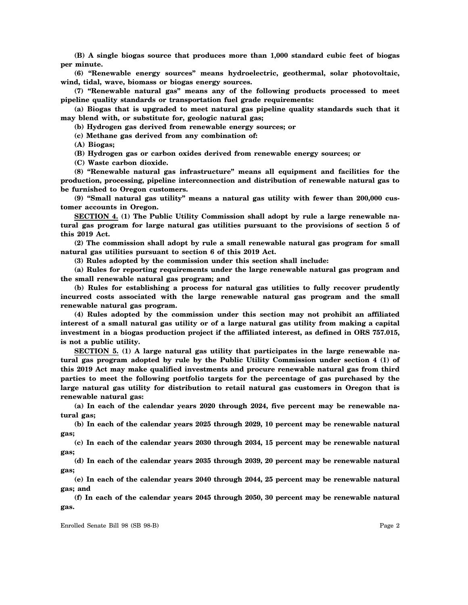**(B) A single biogas source that produces more than 1,000 standard cubic feet of biogas per minute.**

**(6) "Renewable energy sources" means hydroelectric, geothermal, solar photovoltaic, wind, tidal, wave, biomass or biogas energy sources.**

**(7) "Renewable natural gas" means any of the following products processed to meet pipeline quality standards or transportation fuel grade requirements:**

**(a) Biogas that is upgraded to meet natural gas pipeline quality standards such that it may blend with, or substitute for, geologic natural gas;**

**(b) Hydrogen gas derived from renewable energy sources; or**

**(c) Methane gas derived from any combination of:**

**(A) Biogas;**

**(B) Hydrogen gas or carbon oxides derived from renewable energy sources; or**

**(C) Waste carbon dioxide.**

**(8) "Renewable natural gas infrastructure" means all equipment and facilities for the production, processing, pipeline interconnection and distribution of renewable natural gas to be furnished to Oregon customers.**

**(9) "Small natural gas utility" means a natural gas utility with fewer than 200,000 customer accounts in Oregon.**

**SECTION 4. (1) The Public Utility Commission shall adopt by rule a large renewable natural gas program for large natural gas utilities pursuant to the provisions of section 5 of this 2019 Act.**

**(2) The commission shall adopt by rule a small renewable natural gas program for small natural gas utilities pursuant to section 6 of this 2019 Act.**

**(3) Rules adopted by the commission under this section shall include:**

**(a) Rules for reporting requirements under the large renewable natural gas program and the small renewable natural gas program; and**

**(b) Rules for establishing a process for natural gas utilities to fully recover prudently incurred costs associated with the large renewable natural gas program and the small renewable natural gas program.**

**(4) Rules adopted by the commission under this section may not prohibit an affiliated interest of a small natural gas utility or of a large natural gas utility from making a capital investment in a biogas production project if the affiliated interest, as defined in ORS 757.015, is not a public utility.**

**SECTION 5. (1) A large natural gas utility that participates in the large renewable natural gas program adopted by rule by the Public Utility Commission under section 4 (1) of this 2019 Act may make qualified investments and procure renewable natural gas from third parties to meet the following portfolio targets for the percentage of gas purchased by the large natural gas utility for distribution to retail natural gas customers in Oregon that is renewable natural gas:**

**(a) In each of the calendar years 2020 through 2024, five percent may be renewable natural gas;**

**(b) In each of the calendar years 2025 through 2029, 10 percent may be renewable natural gas;**

**(c) In each of the calendar years 2030 through 2034, 15 percent may be renewable natural gas;**

**(d) In each of the calendar years 2035 through 2039, 20 percent may be renewable natural gas;**

**(e) In each of the calendar years 2040 through 2044, 25 percent may be renewable natural gas; and**

**(f) In each of the calendar years 2045 through 2050, 30 percent may be renewable natural gas.**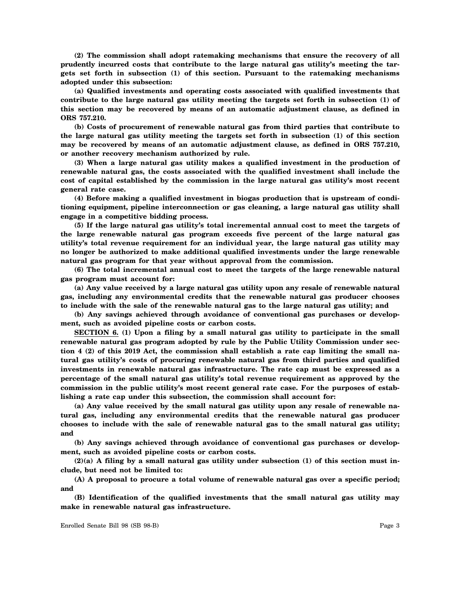**(2) The commission shall adopt ratemaking mechanisms that ensure the recovery of all prudently incurred costs that contribute to the large natural gas utility's meeting the targets set forth in subsection (1) of this section. Pursuant to the ratemaking mechanisms adopted under this subsection:**

**(a) Qualified investments and operating costs associated with qualified investments that contribute to the large natural gas utility meeting the targets set forth in subsection (1) of this section may be recovered by means of an automatic adjustment clause, as defined in ORS 757.210.**

**(b) Costs of procurement of renewable natural gas from third parties that contribute to the large natural gas utility meeting the targets set forth in subsection (1) of this section may be recovered by means of an automatic adjustment clause, as defined in ORS 757.210, or another recovery mechanism authorized by rule.**

**(3) When a large natural gas utility makes a qualified investment in the production of renewable natural gas, the costs associated with the qualified investment shall include the cost of capital established by the commission in the large natural gas utility's most recent general rate case.**

**(4) Before making a qualified investment in biogas production that is upstream of conditioning equipment, pipeline interconnection or gas cleaning, a large natural gas utility shall engage in a competitive bidding process.**

**(5) If the large natural gas utility's total incremental annual cost to meet the targets of the large renewable natural gas program exceeds five percent of the large natural gas utility's total revenue requirement for an individual year, the large natural gas utility may no longer be authorized to make additional qualified investments under the large renewable natural gas program for that year without approval from the commission.**

**(6) The total incremental annual cost to meet the targets of the large renewable natural gas program must account for:**

**(a) Any value received by a large natural gas utility upon any resale of renewable natural gas, including any environmental credits that the renewable natural gas producer chooses to include with the sale of the renewable natural gas to the large natural gas utility; and**

**(b) Any savings achieved through avoidance of conventional gas purchases or development, such as avoided pipeline costs or carbon costs.**

**SECTION 6. (1) Upon a filing by a small natural gas utility to participate in the small renewable natural gas program adopted by rule by the Public Utility Commission under section 4 (2) of this 2019 Act, the commission shall establish a rate cap limiting the small natural gas utility's costs of procuring renewable natural gas from third parties and qualified investments in renewable natural gas infrastructure. The rate cap must be expressed as a percentage of the small natural gas utility's total revenue requirement as approved by the commission in the public utility's most recent general rate case. For the purposes of establishing a rate cap under this subsection, the commission shall account for:**

**(a) Any value received by the small natural gas utility upon any resale of renewable natural gas, including any environmental credits that the renewable natural gas producer chooses to include with the sale of renewable natural gas to the small natural gas utility; and**

**(b) Any savings achieved through avoidance of conventional gas purchases or development, such as avoided pipeline costs or carbon costs.**

**(2)(a) A filing by a small natural gas utility under subsection (1) of this section must include, but need not be limited to:**

**(A) A proposal to procure a total volume of renewable natural gas over a specific period; and**

**(B) Identification of the qualified investments that the small natural gas utility may make in renewable natural gas infrastructure.**